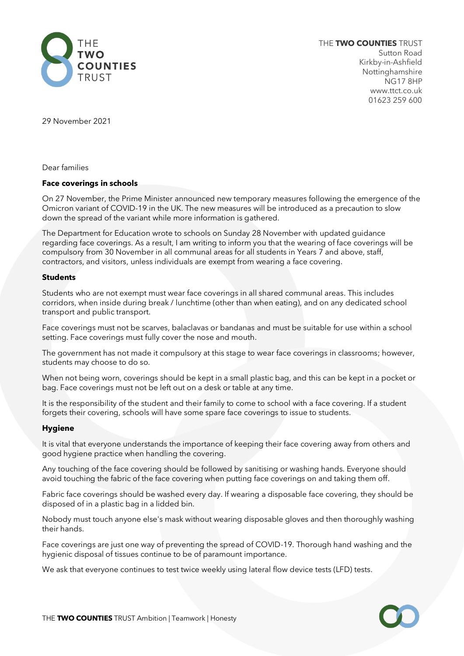

THE **TWO COUNTIES** TRUST Sutton Road Kirkby-in-Ashfield Nottinghamshire NG17 8HP www.ttct.co.uk 01623 259 600

29 November 2021

Dear families

## **Face coverings in schools**

On 27 November, the Prime Minister announced new temporary measures following the emergence of the Omicron variant of COVID-19 in the UK. The new measures will be introduced as a precaution to slow down the spread of the variant while more information is gathered.

The Department for Education wrote to schools on Sunday 28 November with updated guidance regarding face coverings. As a result, I am writing to inform you that the wearing of face coverings will be compulsory from 30 November in all communal areas for all students in Years 7 and above, staff, contractors, and visitors, unless individuals are exempt from wearing a face covering.

## **Students**

Students who are not exempt must wear face coverings in all shared communal areas. This includes corridors, when inside during break / lunchtime (other than when eating), and on any dedicated school transport and public transport.

Face coverings must not be scarves, balaclavas or bandanas and must be suitable for use within a school setting. Face coverings must fully cover the nose and mouth.

The government has not made it compulsory at this stage to wear face coverings in classrooms; however, students may choose to do so.

When not being worn, coverings should be kept in a small plastic bag, and this can be kept in a pocket or bag. Face coverings must not be left out on a desk or table at any time.

It is the responsibility of the student and their family to come to school with a face covering. If a student forgets their covering, schools will have some spare face coverings to issue to students.

#### **Hygiene**

It is vital that everyone understands the importance of keeping their face covering away from others and good hygiene practice when handling the covering.

Any touching of the face covering should be followed by sanitising or washing hands. Everyone should avoid touching the fabric of the face covering when putting face coverings on and taking them off.

Fabric face coverings should be washed every day. If wearing a disposable face covering, they should be disposed of in a plastic bag in a lidded bin.

Nobody must touch anyone else's mask without wearing disposable gloves and then thoroughly washing their hands.

Face coverings are just one way of preventing the spread of COVID-19. Thorough hand washing and the hygienic disposal of tissues continue to be of paramount importance.

We ask that everyone continues to test twice weekly using lateral flow device tests (LFD) tests.